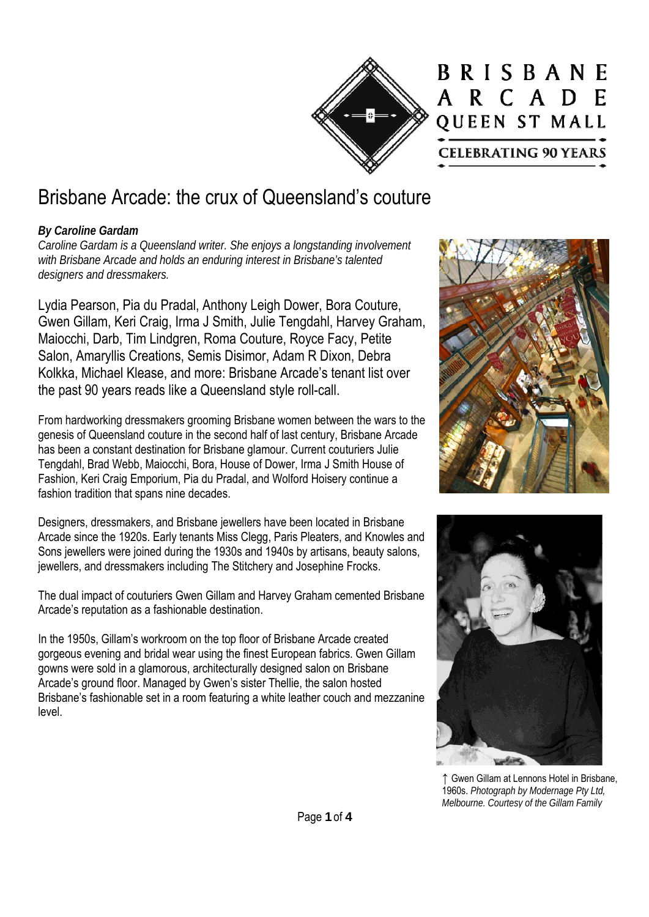

## BRISBANE A R C A D E QUEEN ST MALL **CELEBRATING 90 YEARS**

# Brisbane Arcade: the crux of Queensland's couture

### *By Caroline Gardam*

*Caroline Gardam is a Queensland writer. She enjoys a longstanding involvement with Brisbane Arcade and holds an enduring interest in Brisbane's talented designers and dressmakers.* 

Lydia Pearson, Pia du Pradal, Anthony Leigh Dower, Bora Couture, Gwen Gillam, Keri Craig, Irma J Smith, Julie Tengdahl, Harvey Graham, Maiocchi, Darb, Tim Lindgren, Roma Couture, Royce Facy, Petite Salon, Amaryllis Creations, Semis Disimor, Adam R Dixon, Debra Kolkka, Michael Klease, and more: Brisbane Arcade's tenant list over the past 90 years reads like a Queensland style roll-call.

From hardworking dressmakers grooming Brisbane women between the wars to the genesis of Queensland couture in the second half of last century, Brisbane Arcade has been a constant destination for Brisbane glamour. Current couturiers Julie Tengdahl, Brad Webb, Maiocchi, Bora, House of Dower, Irma J Smith House of Fashion, Keri Craig Emporium, Pia du Pradal, and Wolford Hoisery continue a fashion tradition that spans nine decades.

Designers, dressmakers, and Brisbane jewellers have been located in Brisbane Arcade since the 1920s. Early tenants Miss Clegg, Paris Pleaters, and Knowles and Sons jewellers were joined during the 1930s and 1940s by artisans, beauty salons, jewellers, and dressmakers including The Stitchery and Josephine Frocks.

The dual impact of couturiers Gwen Gillam and Harvey Graham cemented Brisbane Arcade's reputation as a fashionable destination.

In the 1950s, Gillam's workroom on the top floor of Brisbane Arcade created gorgeous evening and bridal wear using the finest European fabrics. Gwen Gillam gowns were sold in a glamorous, architecturally designed salon on Brisbane Arcade's ground floor. Managed by Gwen's sister Thellie, the salon hosted Brisbane's fashionable set in a room featuring a white leather couch and mezzanine level.





↑ Gwen Gillam at Lennons Hotel in Brisbane, 1960s. *Photograph by Modernage Pty Ltd, Melbourne. Courtesy of the Gillam Family*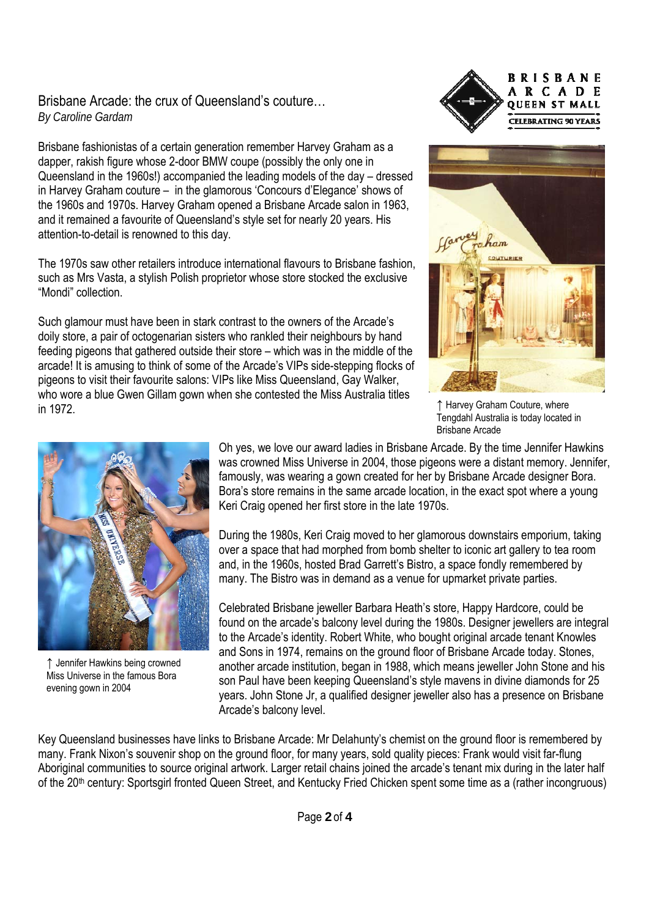#### Brisbane Arcade: the crux of Queensland's couture… *By Caroline Gardam*

Brisbane fashionistas of a certain generation remember Harvey Graham as a dapper, rakish figure whose 2-door BMW coupe (possibly the only one in Queensland in the 1960s!) accompanied the leading models of the day – dressed in Harvey Graham couture – in the glamorous 'Concours d'Elegance' shows of the 1960s and 1970s. Harvey Graham opened a Brisbane Arcade salon in 1963, and it remained a favourite of Queensland's style set for nearly 20 years. His attention-to-detail is renowned to this day.

The 1970s saw other retailers introduce international flavours to Brisbane fashion, such as Mrs Vasta, a stylish Polish proprietor whose store stocked the exclusive "Mondi" collection.

Such glamour must have been in stark contrast to the owners of the Arcade's doily store, a pair of octogenarian sisters who rankled their neighbours by hand feeding pigeons that gathered outside their store – which was in the middle of the arcade! It is amusing to think of some of the Arcade's VIPs side-stepping flocks of pigeons to visit their favourite salons: VIPs like Miss Queensland, Gay Walker, who wore a blue Gwen Gillam gown when she contested the Miss Australia titles in 1972.





↑ Harvey Graham Couture, where Tengdahl Australia is today located in Brisbane Arcade



↑ Jennifer Hawkins being crowned Miss Universe in the famous Bora evening gown in 2004

Oh yes, we love our award ladies in Brisbane Arcade. By the time Jennifer Hawkins was crowned Miss Universe in 2004, those pigeons were a distant memory. Jennifer, famously, was wearing a gown created for her by Brisbane Arcade designer Bora. Bora's store remains in the same arcade location, in the exact spot where a young Keri Craig opened her first store in the late 1970s.

During the 1980s, Keri Craig moved to her glamorous downstairs emporium, taking over a space that had morphed from bomb shelter to iconic art gallery to tea room and, in the 1960s, hosted Brad Garrett's Bistro, a space fondly remembered by many. The Bistro was in demand as a venue for upmarket private parties.

Celebrated Brisbane jeweller Barbara Heath's store, Happy Hardcore, could be found on the arcade's balcony level during the 1980s. Designer jewellers are integral to the Arcade's identity. Robert White, who bought original arcade tenant Knowles and Sons in 1974, remains on the ground floor of Brisbane Arcade today. Stones, another arcade institution, began in 1988, which means jeweller John Stone and his son Paul have been keeping Queensland's style mavens in divine diamonds for 25 years. John Stone Jr, a qualified designer jeweller also has a presence on Brisbane Arcade's balcony level.

Key Queensland businesses have links to Brisbane Arcade: Mr Delahunty's chemist on the ground floor is remembered by many. Frank Nixon's souvenir shop on the ground floor, for many years, sold quality pieces: Frank would visit far-flung Aboriginal communities to source original artwork. Larger retail chains joined the arcade's tenant mix during in the later half of the 20th century: Sportsgirl fronted Queen Street, and Kentucky Fried Chicken spent some time as a (rather incongruous)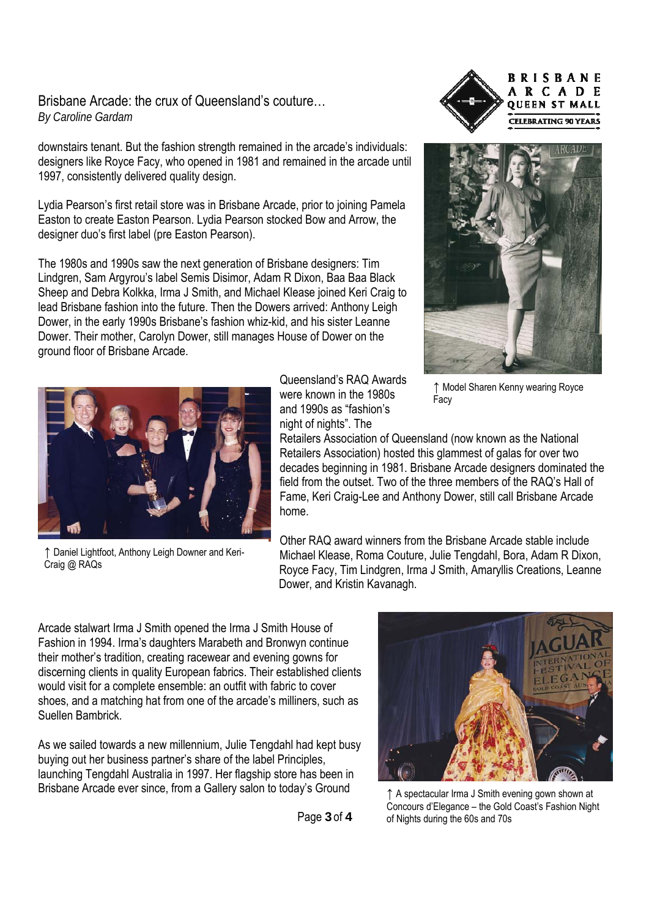#### Brisbane Arcade: the crux of Queensland's couture… *By Caroline Gardam*

downstairs tenant. But the fashion strength remained in the arcade's individuals: designers like Royce Facy, who opened in 1981 and remained in the arcade until 1997, consistently delivered quality design.

Lydia Pearson's first retail store was in Brisbane Arcade, prior to joining Pamela Easton to create Easton Pearson. Lydia Pearson stocked Bow and Arrow, the designer duo's first label (pre Easton Pearson).

The 1980s and 1990s saw the next generation of Brisbane designers: Tim Lindgren, Sam Argyrou's label Semis Disimor, Adam R Dixon, Baa Baa Black Sheep and Debra Kolkka, Irma J Smith, and Michael Klease joined Keri Craig to lead Brisbane fashion into the future. Then the Dowers arrived: Anthony Leigh Dower, in the early 1990s Brisbane's fashion whiz-kid, and his sister Leanne Dower. Their mother, Carolyn Dower, still manages House of Dower on the ground floor of Brisbane Arcade.



↑ Daniel Lightfoot, Anthony Leigh Downer and Keri-Craig @ RAQs

Queensland's RAQ Awards were known in the 1980s and 1990s as "fashion's night of nights". The





↑ Model Sharen Kenny wearing Royce Facy

Retailers Association of Queensland (now known as the National Retailers Association) hosted this glammest of galas for over two decades beginning in 1981. Brisbane Arcade designers dominated the field from the outset. Two of the three members of the RAQ's Hall of Fame, Keri Craig-Lee and Anthony Dower, still call Brisbane Arcade home.

Other RAQ award winners from the Brisbane Arcade stable include Michael Klease, Roma Couture, Julie Tengdahl, Bora, Adam R Dixon, Royce Facy, Tim Lindgren, Irma J Smith, Amaryllis Creations, Leanne Dower, and Kristin Kavanagh.

Arcade stalwart Irma J Smith opened the Irma J Smith House of Fashion in 1994. Irma's daughters Marabeth and Bronwyn continue their mother's tradition, creating racewear and evening gowns for discerning clients in quality European fabrics. Their established clients would visit for a complete ensemble: an outfit with fabric to cover shoes, and a matching hat from one of the arcade's milliners, such as Suellen Bambrick.

As we sailed towards a new millennium, Julie Tengdahl had kept busy buying out her business partner's share of the label Principles, launching Tengdahl Australia in 1997. Her flagship store has been in Brisbane Arcade ever since, from a Gallery salon to today's Ground



↑ A spectacular Irma J Smith evening gown shown at Concours d'Elegance – the Gold Coast's Fashion Night of Nights during the 60s and 70s

Page **3** of **4**